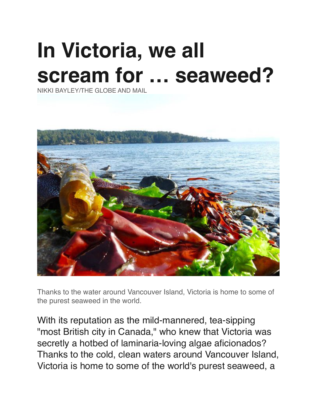# **In Victoria, we all scream for … seaweed?**

NIKKI BAYLEY/THE GLOBE AND MAIL



Thanks to the water around Vancouver Island, Victoria is home to some of the purest seaweed in the world.

With its reputation as the mild-mannered, tea-sipping "most British city in Canada," who knew that Victoria was secretly a hotbed of laminaria-loving algae aficionados? Thanks to the cold, clean waters around Vancouver Island, Victoria is home to some of the world's purest seaweed, a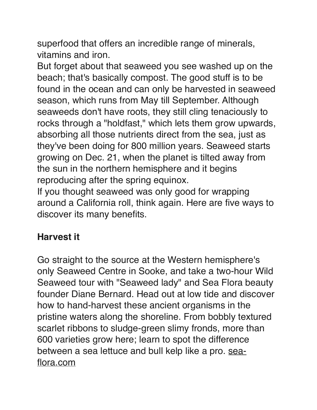superfood that offers an incredible range of minerals, vitamins and iron.

But forget about that seaweed you see washed up on the beach; that's basically compost. The good stuff is to be found in the ocean and can only be harvested in seaweed season, which runs from May till September. Although seaweeds don't have roots, they still cling tenaciously to rocks through a "holdfast," which lets them grow upwards, absorbing all those nutrients direct from the sea, just as they've been doing for 800 million years. Seaweed starts growing on Dec. 21, when the planet is tilted away from the sun in the northern hemisphere and it begins reproducing after the spring equinox.

If you thought seaweed was only good for wrapping around a California roll, think again. Here are five ways to discover its many benefits.

## **Harvest it**

Go straight to the source at the Western hemisphere's only Seaweed Centre in Sooke, and take a two-hour Wild Seaweed tour with "Seaweed lady" and Sea Flora beauty founder Diane Bernard. Head out at low tide and discover how to hand-harvest these ancient organisms in the pristine waters along the shoreline. From bobbly textured scarlet ribbons to sludge-green slimy fronds, more than 600 varieties grow here; learn to spot the difference between a sea lettuce and bull kelp like a pro. [sea](http://sea-flora.com/)[flora.com](http://sea-flora.com/)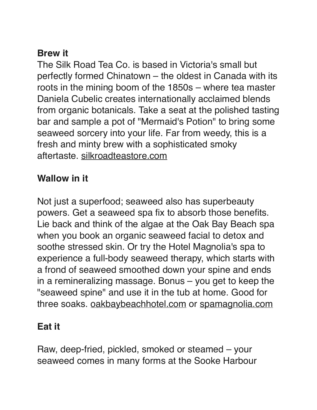#### **Brew it**

The Silk Road Tea Co. is based in Victoria's small but perfectly formed Chinatown – the oldest in Canada with its roots in the mining boom of the 1850s – where tea master Daniela Cubelic creates internationally acclaimed blends from organic botanicals. Take a seat at the polished tasting bar and sample a pot of "Mermaid's Potion" to bring some seaweed sorcery into your life. Far from weedy, this is a fresh and minty brew with a sophisticated smoky aftertaste. [silkroadteastore.com](http://silkroadteastore.com/)

#### **Wallow in it**

Not just a superfood; seaweed also has superbeauty powers. Get a seaweed spa fix to absorb those benefits. Lie back and think of the algae at the Oak Bay Beach spa when you book an organic seaweed facial to detox and soothe stressed skin. Or try the Hotel Magnolia's spa to experience a full-body seaweed therapy, which starts with a frond of seaweed smoothed down your spine and ends in a remineralizing massage. Bonus – you get to keep the "seaweed spine" and use it in the tub at home. Good for three soaks. [oakbaybeachhotel.com](http://oakbaybeachhotel.com/) or [spamagnolia.com](http://spamagnolia.com/)

## **Eat it**

Raw, deep-fried, pickled, smoked or steamed – your seaweed comes in many forms at the Sooke Harbour